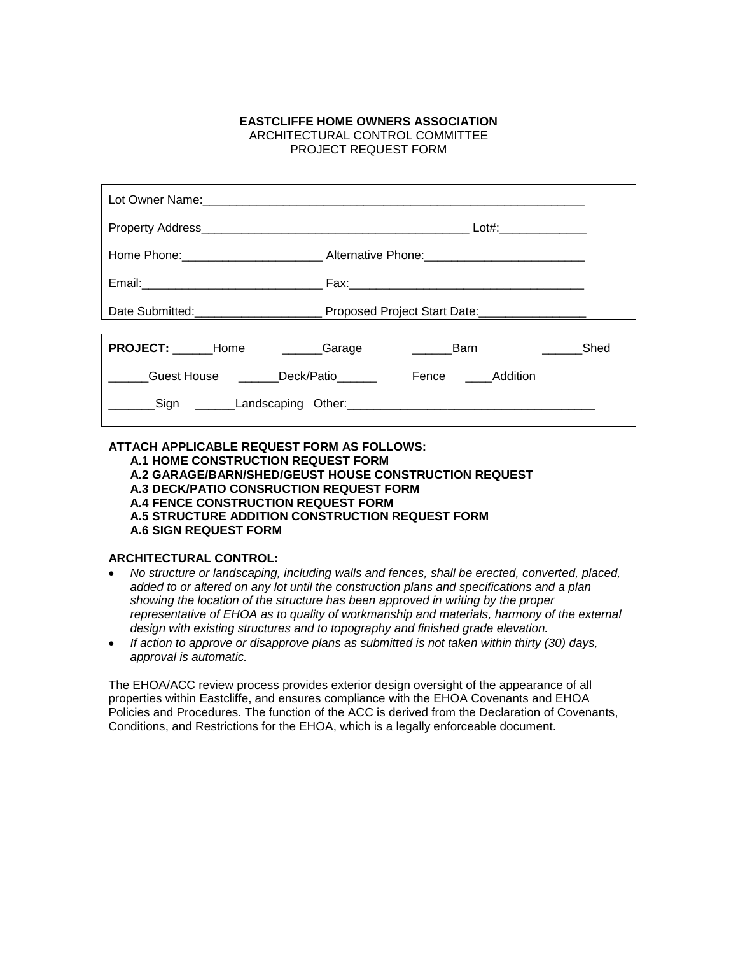## **EASTCLIFFE HOME OWNERS ASSOCIATION** ARCHITECTURAL CONTROL COMMITTEE PROJECT REQUEST FORM

|                                    | Lot#: ______________                                                                                 |
|------------------------------------|------------------------------------------------------------------------------------------------------|
|                                    | Home Phone: ___________________________________Alternative Phone: __________________________________ |
|                                    |                                                                                                      |
|                                    |                                                                                                      |
| <b>PROJECT:</b> Home <b>Carage</b> | Shed<br><b>Example 1</b>                                                                             |
| Guest House Deck/Patio             | Fence Addition                                                                                       |
|                                    |                                                                                                      |

## **ATTACH APPLICABLE REQUEST FORM AS FOLLOWS: A.1 HOME CONSTRUCTION REQUEST FORM A.2 GARAGE/BARN/SHED/GEUST HOUSE CONSTRUCTION REQUEST A.3 DECK/PATIO CONSRUCTION REQUEST FORM A.4 FENCE CONSTRUCTION REQUEST FORM A.5 STRUCTURE ADDITION CONSTRUCTION REQUEST FORM A.6 SIGN REQUEST FORM**

# **ARCHITECTURAL CONTROL:**

- *No structure or landscaping, including walls and fences, shall be erected, converted, placed, added to or altered on any lot until the construction plans and specifications and a plan showing the location of the structure has been approved in writing by the proper representative of EHOA as to quality of workmanship and materials, harmony of the external design with existing structures and to topography and finished grade elevation.*
- *If action to approve or disapprove plans as submitted is not taken within thirty (30) days, approval is automatic.*

The EHOA/ACC review process provides exterior design oversight of the appearance of all properties within Eastcliffe, and ensures compliance with the EHOA Covenants and EHOA Policies and Procedures. The function of the ACC is derived from the Declaration of Covenants, Conditions, and Restrictions for the EHOA, which is a legally enforceable document.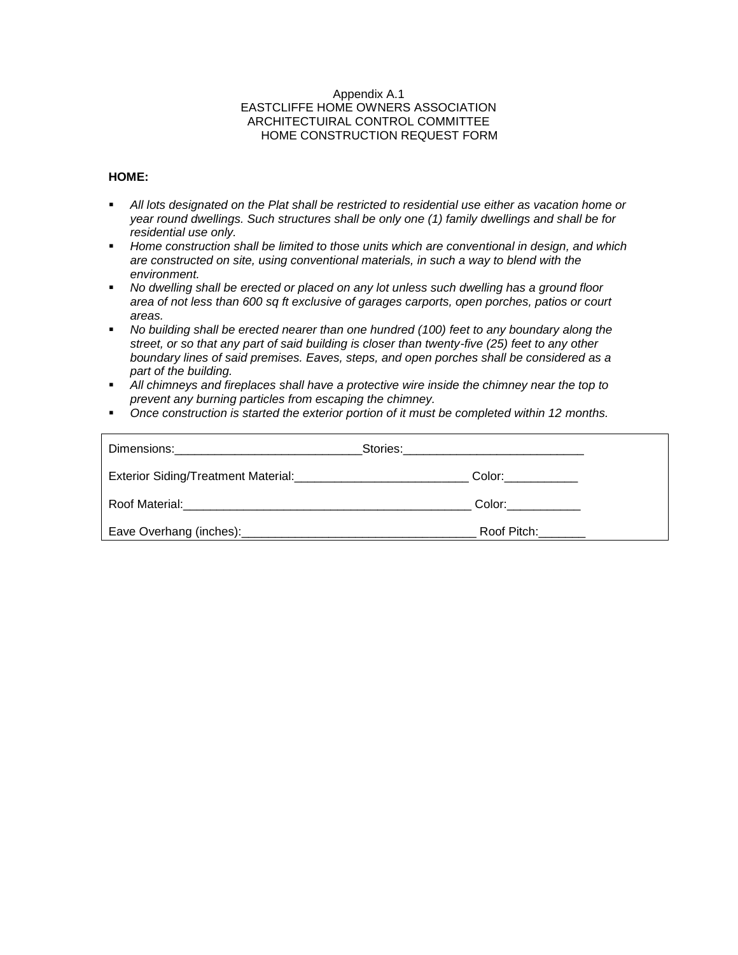#### Appendix A.1 EASTCLIFFE HOME OWNERS ASSOCIATION ARCHITECTUIRAL CONTROL COMMITTEE HOME CONSTRUCTION REQUEST FORM

## **HOME:**

- **EXECT** *All lots designated on the Plat shall be restricted to residential use either as vacation home or year round dwellings. Such structures shall be only one (1) family dwellings and shall be for residential use only.*
- Home construction shall be limited to those units which are conventional in design, and which *are constructed on site, using conventional materials, in such a way to blend with the environment.*
- No dwelling shall be erected or placed on any lot unless such dwelling has a ground floor *area of not less than 600 sq ft exclusive of garages carports, open porches, patios or court areas.*
- *No building shall be erected nearer than one hundred (100) feet to any boundary along the street, or so that any part of said building is closer than twenty-five (25) feet to any other boundary lines of said premises. Eaves, steps, and open porches shall be considered as a part of the building.*
- *All chimneys and fireplaces shall have a protective wire inside the chimney near the top to prevent any burning particles from escaping the chimney.*
- *Once construction is started the exterior portion of it must be completed within 12 months.*

| Dimensions: 2000 and 2000 and 2000 and 2000 and 2000 and 2000 and 2000 and 2000 and 2000 and 2000 and 2000 and |                               |  |
|----------------------------------------------------------------------------------------------------------------|-------------------------------|--|
|                                                                                                                | Color: ___________            |  |
|                                                                                                                | Color: <b>Color</b>           |  |
|                                                                                                                | Roof Pitch: North State State |  |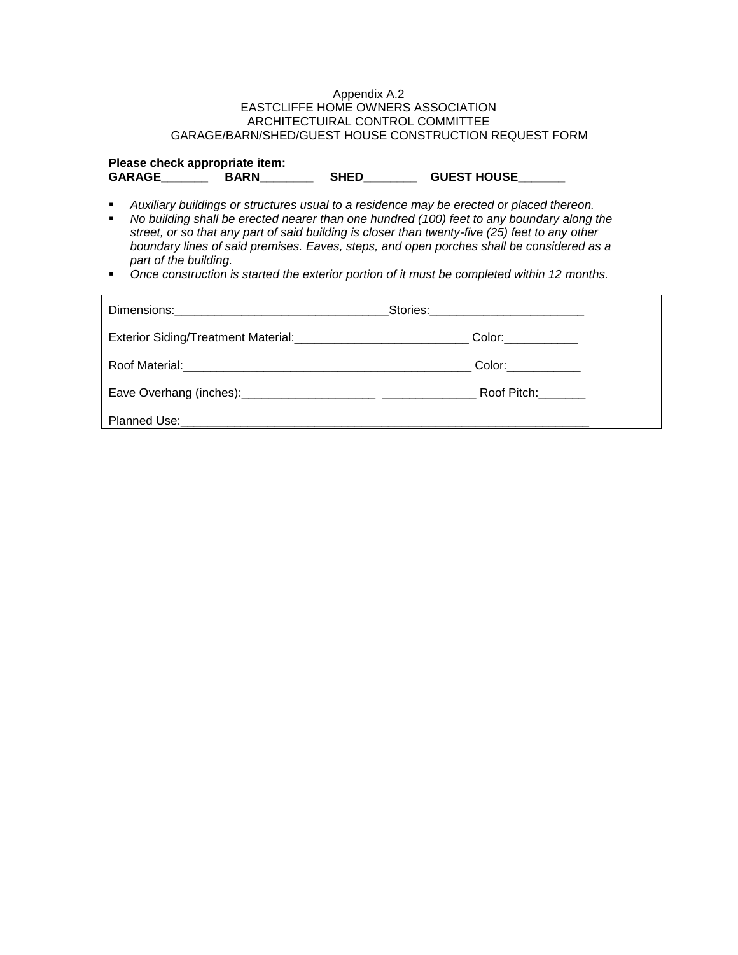#### Appendix A.2 EASTCLIFFE HOME OWNERS ASSOCIATION ARCHITECTUIRAL CONTROL COMMITTEE GARAGE/BARN/SHED/GUEST HOUSE CONSTRUCTION REQUEST FORM

| Please check appropriate item: |             |             |                    |
|--------------------------------|-------------|-------------|--------------------|
| <b>GARAGE</b>                  | <b>BARN</b> | <b>SHED</b> | <b>GUEST HOUSE</b> |

- Auxiliary buildings or structures usual to a residence may be erected or placed thereon.<br>■ No building shall be erected nearer than one bundred (100) feet to any boundary along t
- *No building shall be erected nearer than one hundred (100) feet to any boundary along the street, or so that any part of said building is closer than twenty-five (25) feet to any other boundary lines of said premises. Eaves, steps, and open porches shall be considered as a part of the building.*
- *Once construction is started the exterior portion of it must be completed within 12 months.*

|                                                                                | Stories:_____________________________                                                                                                                                                                                         |
|--------------------------------------------------------------------------------|-------------------------------------------------------------------------------------------------------------------------------------------------------------------------------------------------------------------------------|
| Exterior Siding/Treatment Material: <b>Exterior Siding/Treatment Material:</b> | Color:____________                                                                                                                                                                                                            |
|                                                                                | Color:____________                                                                                                                                                                                                            |
|                                                                                | Roof Pitch: North State State State State State State State State State State State State State State State State State State State State State State State State State State State State State State State State State State |
|                                                                                |                                                                                                                                                                                                                               |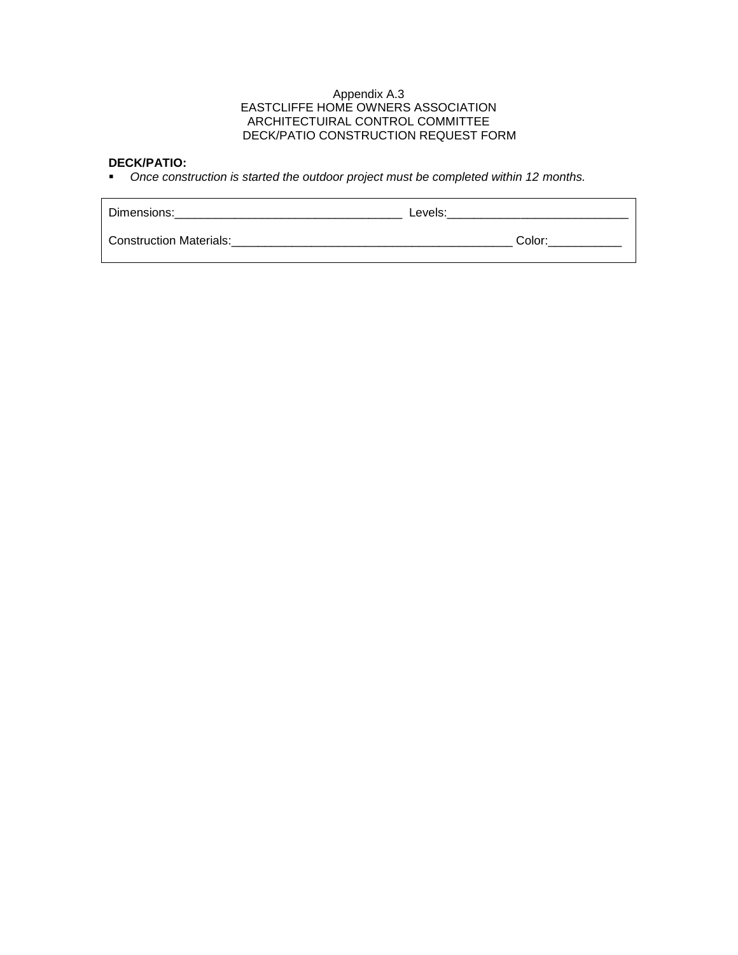#### Appendix A.3 EASTCLIFFE HOME OWNERS ASSOCIATION ARCHITECTUIRAL CONTROL COMMITTEE DECK/PATIO CONSTRUCTION REQUEST FORM

## **DECK/PATIO:**

▪ *Once construction is started the outdoor project must be completed within 12 months.*

| Dimensions:                    | Levels: |        |
|--------------------------------|---------|--------|
| <b>Construction Materials:</b> |         | Color: |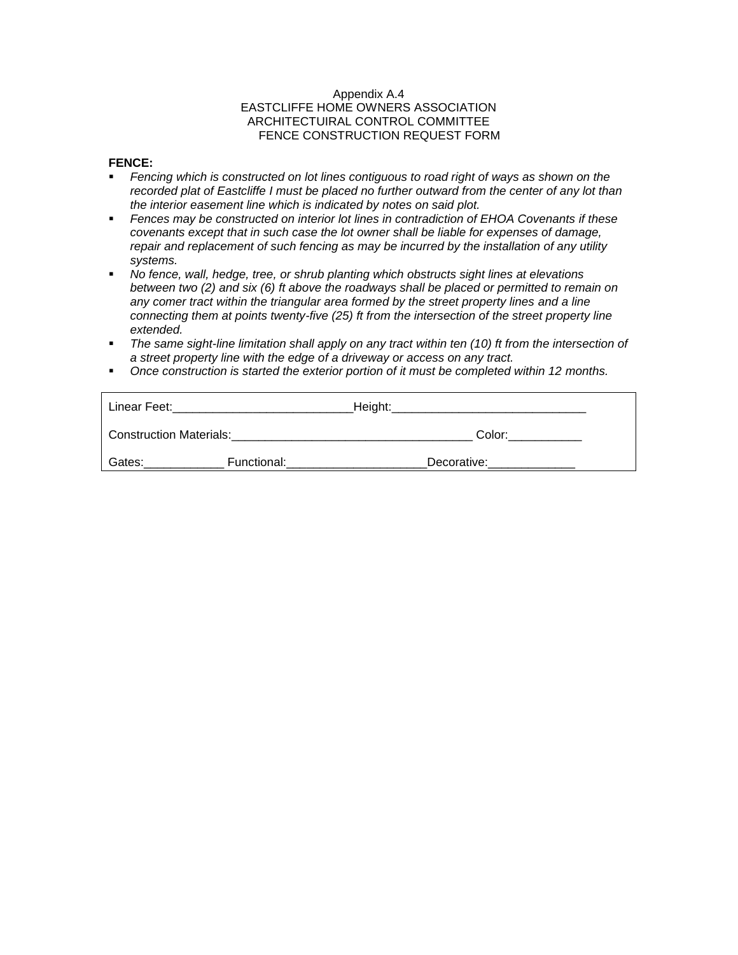## Appendix A.4 EASTCLIFFE HOME OWNERS ASSOCIATION ARCHITECTUIRAL CONTROL COMMITTEE FENCE CONSTRUCTION REQUEST FORM

## **FENCE:**

- *Fencing which is constructed on lot lines contiguous to road right of ways as shown on the recorded plat of Eastcliffe I must be placed no further outward from the center of any lot than the interior easement line which is indicated by notes on said plot.*
- *Fences may be constructed on interior lot lines in contradiction of EHOA Covenants if these covenants except that in such case the lot owner shall be liable for expenses of damage, repair and replacement of such fencing as may be incurred by the installation of any utility systems.*
- *No fence, wall, hedge, tree, or shrub planting which obstructs sight lines at elevations between two (2) and six (6) ft above the roadways shall be placed or permitted to remain on any comer tract within the triangular area formed by the street property lines and a line connecting them at points twenty-five (25) ft from the intersection of the street property line extended.*
- *The same sight-line limitation shall apply on any tract within ten (10) ft from the intersection of a street property line with the edge of a driveway or access on any tract.*
- *Once construction is started the exterior portion of it must be completed within 12 months.*

| Linear Feet:                   |             | Height: |             |  |
|--------------------------------|-------------|---------|-------------|--|
| <b>Construction Materials:</b> |             |         | Color:      |  |
| Gates:                         | Functional: |         | Decorative: |  |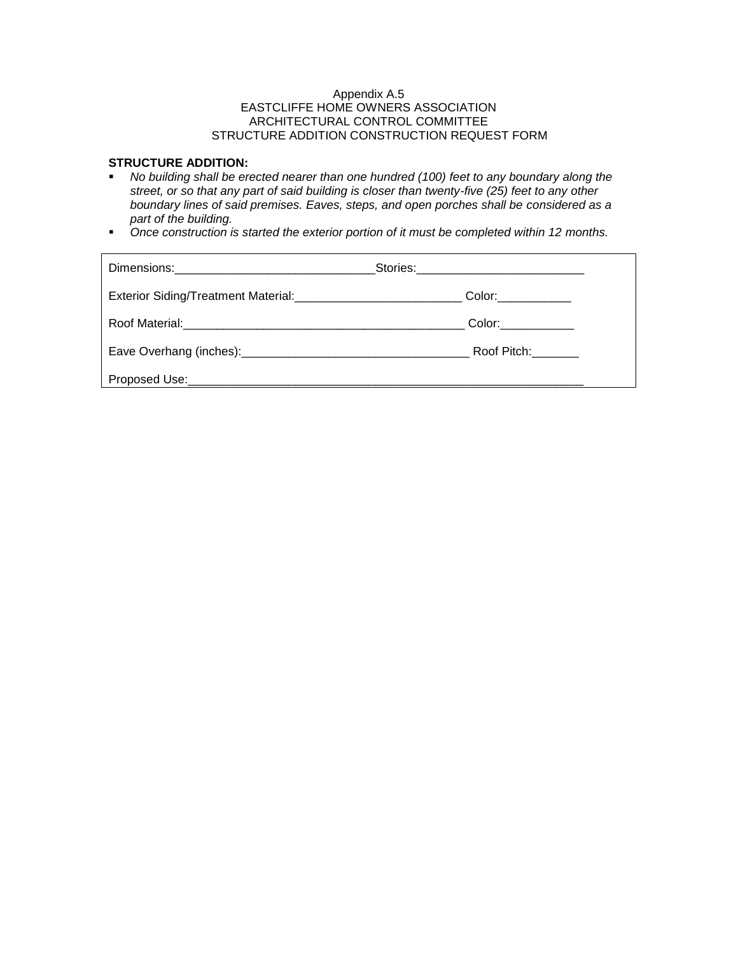## Appendix A.5 EASTCLIFFE HOME OWNERS ASSOCIATION ARCHITECTURAL CONTROL COMMITTEE STRUCTURE ADDITION CONSTRUCTION REQUEST FORM

# **STRUCTURE ADDITION:**

- *No building shall be erected nearer than one hundred (100) feet to any boundary along the street, or so that any part of said building is closer than twenty-five (25) feet to any other boundary lines of said premises. Eaves, steps, and open porches shall be considered as a part of the building.*
- *Once construction is started the exterior portion of it must be completed within 12 months.*

| Color:____________  |
|---------------------|
| Color:_____________ |
| Roof Pitch:         |
|                     |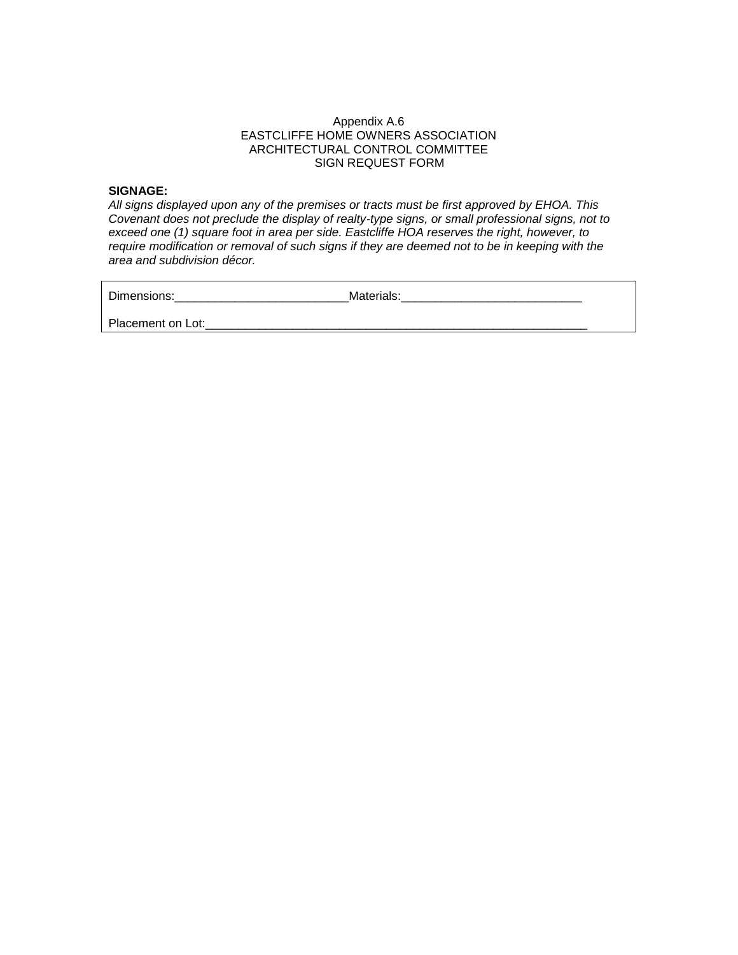## Appendix A.6 EASTCLIFFE HOME OWNERS ASSOCIATION ARCHITECTURAL CONTROL COMMITTEE SIGN REQUEST FORM

#### **SIGNAGE:**

*All signs displayed upon any of the premises or tracts must be first approved by EHOA. This Covenant does not preclude the display of realty-type signs, or small professional signs, not to exceed one (1) square foot in area per side. Eastcliffe HOA reserves the right, however, to require modification or removal of such signs if they are deemed not to be in keeping with the area and subdivision décor.*

Dimensions:\_\_\_\_\_\_\_\_\_\_\_\_\_\_\_\_\_\_\_\_\_\_\_\_\_\_\_\_\_\_\_\_\_\_\_Materials:\_\_\_\_\_\_\_\_\_\_\_\_\_\_\_\_\_\_\_\_\_\_\_\_\_

Placement on Lot:\_\_\_\_\_\_\_\_\_\_\_\_\_\_\_\_\_\_\_\_\_\_\_\_\_\_\_\_\_\_\_\_\_\_\_\_\_\_\_\_\_\_\_\_\_\_\_\_\_\_\_\_\_\_\_\_\_